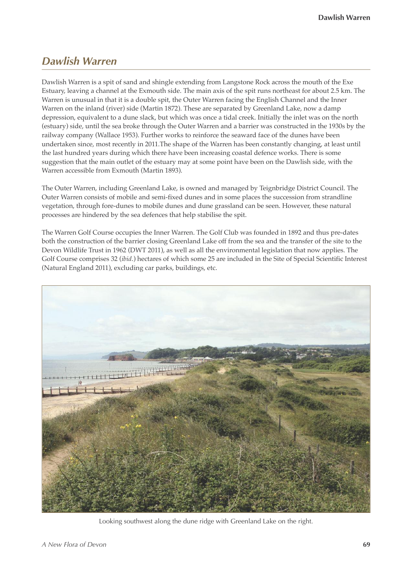## *Dawlish Warren*

Dawlish Warren is a spit of sand and shingle extending from Langstone Rock across the mouth of the Exe Estuary, leaving a channel at the Exmouth side. The main axis of the spit runs northeast for about 2.5 km. The Warren is unusual in that it is a double spit, the Outer Warren facing the English Channel and the Inner Warren on the inland (river) side (Martin 1872). These are separated by Greenland Lake, now a damp depression, equivalent to a dune slack, but which was once a tidal creek. Initially the inlet was on the north (estuary) side, until the sea broke through the Outer Warren and a barrier was constructed in the 1930s by the railway company (Wallace 1953). Further works to reinforce the seaward face of the dunes have been undertaken since, most recently in 2011.The shape of the Warren has been constantly changing, at least until the last hundred years during which there have been increasing coastal defence works. There is some suggestion that the main outlet of the estuary may at some point have been on the Dawlish side, with the Warren accessible from Exmouth (Martin 1893).

The Outer Warren, including Greenland Lake, is owned and managed by Teignbridge District Council. The Outer Warren consists of mobile and semi-fixed dunes and in some places the succession from strandline vegetation, through fore-dunes to mobile dunes and dune grassland can be seen. However, these natural processes are hindered by the sea defences that help stabilise the spit.

The Warren Golf Course occupies the Inner Warren. The Golf Club was founded in 1892 and thus pre-dates both the construction of the barrier closing Greenland Lake off from the sea and the transfer of the site to the Devon Wildlife Trust in 1962 (DWT 2011), as well as all the environmental legislation that now applies. The Golf Course comprises 32 (*ibid*.) hectares of which some 25 are included in the Site of Special Scientific Interest (Natural England 2011), excluding car parks, buildings, etc.



Looking southwest along the dune ridge with Greenland Lake on the right.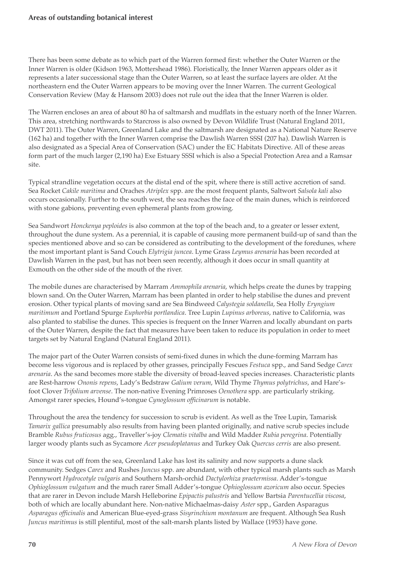## **Areas of outstanding botanical interest**

There has been some debate as to which part of the Warren formed first: whether the Outer Warren or the Inner Warren is older (Kidson 1963, Mottershead 1986). Floristically, the Inner Warren appears older as it represents a later successional stage than the Outer Warren, so at least the surface layers are older. At the northeastern end the Outer Warren appears to be moving over the Inner Warren. The current Geological Conservation Review (May & Hansom 2003) does not rule out the idea that the Inner Warren is older.

The Warren encloses an area of about 80 ha of saltmarsh and mudflats in the estuary north of the Inner Warren. This area, stretching northwards to Starcross is also owned by Devon Wildlife Trust (Natural England 2011, DWT 2011). The Outer Warren, Greenland Lake and the saltmarsh are designated as a National Nature Reserve (162 ha) and together with the Inner Warren comprise the Dawlish Warren SSSI (207 ha). Dawlish Warren is also designated as a Special Area of Conservation (SAC) under the EC Habitats Directive. All of these areas form part of the much larger (2,190 ha) Exe Estuary SSSI which is also a Special Protection Area and a Ramsar site.

Typical strandline vegetation occurs at the distal end of the spit, where there is still active accretion of sand. Sea Rocket *Cakile maritima* and Oraches *Atriplex* spp. are the most frequent plants, Saltwort *Salsola kali* also occurs occasionally. Further to the south west, the sea reaches the face of the main dunes, which is reinforced with stone gabions, preventing even ephemeral plants from growing.

Sea Sandwort *Honckenya peploides* is also common at the top of the beach and, to a greater or lesser extent, throughout the dune system. As a perennial, it is capable of causing more permanent build-up of sand than the species mentioned above and so can be considered as contributing to the development of the foredunes, where the most important plant is Sand Couch *Elytrigia juncea*. Lyme Grass *Leymus arenaria* has been recorded at Dawlish Warren in the past, but has not been seen recently, although it does occur in small quantity at Exmouth on the other side of the mouth of the river.

The mobile dunes are characterised by Marram *Ammophila arenaria*, which helps create the dunes by trapping blown sand. On the Outer Warren, Marram has been planted in order to help stabilise the dunes and prevent erosion. Other typical plants of moving sand are Sea Bindweed *Calystegia soldanella*, Sea Holly *Eryngium maritimum* and Portland Spurge *Euphorbia portlandica*. Tree Lupin *Lupinus arboreus*, native to California, was also planted to stabilise the dunes. This species is frequent on the Inner Warren and locally abundant on parts of the Outer Warren, despite the fact that measures have been taken to reduce its population in order to meet targets set by Natural England (Natural England 2011).

The major part of the Outer Warren consists of semi-fixed dunes in which the dune-forming Marram has become less vigorous and is replaced by other grasses, principally Fescues *Festuca* spp., and Sand Sedge *Carex arenaria*. As the sand becomes more stable the diversity of broad-leaved species increases. Characteristic plants are Rest-harrow *Ononis repens*, Lady's Bedstraw *Galium verum*, Wild Thyme *Thymus polytrichus*, and Hare'sfoot Clover *Trifolium arvense*. The non-native Evening Primroses *Oenothera* spp. are particularly striking. Amongst rarer species, Hound's-tongue *Cynoglossum officinarum* is notable.

Throughout the area the tendency for succession to scrub is evident. As well as the Tree Lupin, Tamarisk *Tamarix gallica* presumably also results from having been planted originally, and native scrub species include Bramble *Rubus fruticosus* agg., Traveller's-joy *Clematis vitalba* and Wild Madder *Rubia peregrina*. Potentially larger woody plants such as Sycamore *Acer pseudoplatanus* and Turkey Oak *Quercus cerris* are also present.

Since it was cut off from the sea, Greenland Lake has lost its salinity and now supports a dune slack community. Sedges *Carex* and Rushes *Juncus* spp. are abundant, with other typical marsh plants such as Marsh Pennywort *Hydrocotyle vulgaris* and Southern Marsh-orchid *Dactylorhiza praetermissa*. Adder's-tongue *Ophioglossum vulgatum* and the much rarer Small Adder's-tongue *Ophioglossum azoricum* also occur. Species that are rarer in Devon include Marsh Helleborine *Epipactis palustris* and Yellow Bartsia *Parentucellia viscosa*, both of which are locally abundant here. Non-native Michaelmas-daisy *Aster* spp., Garden Asparagus *Asparagus officinalis* and American Blue-eyed-grass *Sisyrinchium montanum* are frequent. Although Sea Rush *Juncus maritimus* is still plentiful, most of the salt-marsh plants listed by Wallace (1953) have gone.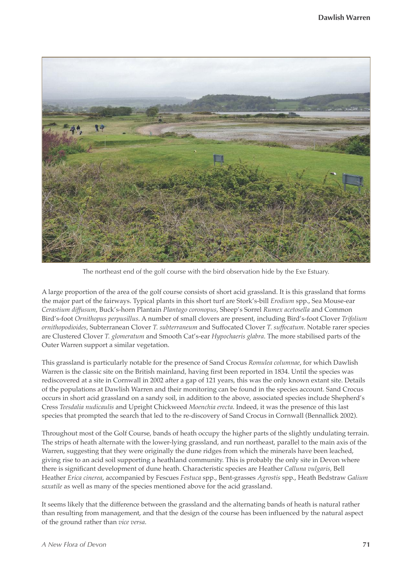

The northeast end of the golf course with the bird observation hide by the Exe Estuary.

A large proportion of the area of the golf course consists of short acid grassland. It is this grassland that forms the major part of the fairways. Typical plants in this short turf are Stork's-bill *Erodium* spp., Sea Mouse-ear *Cerastium diffusum*, Buck's-horn Plantain *Plantago coronopus*, Sheep's Sorrel *Rumex acetosella* and Common Bird's-foot *Ornithopus perpusillus*. A number of small clovers are present, including Bird's-foot Clover *Trifolium ornithopodioides*, Subterranean Clover *T. subterraneum* and Suffocated Clover *T. suffocatum*. Notable rarer species are Clustered Clover *T. glomeratum* and Smooth Cat's-ear *Hypochaeris glabra*. The more stabilised parts of the Outer Warren support a similar vegetation.

This grassland is particularly notable for the presence of Sand Crocus *Romulea columnae*, for which Dawlish Warren is the classic site on the British mainland, having first been reported in 1834. Until the species was rediscovered at a site in Cornwall in 2002 after a gap of 121 years, this was the only known extant site. Details of the populations at Dawlish Warren and their monitoring can be found in the species account. Sand Crocus occurs in short acid grassland on a sandy soil, in addition to the above, associated species include Shepherd's Cress *Teesdalia nudicaulis* and Upright Chickweed *Moenchia erecta*. Indeed, it was the presence of this last species that prompted the search that led to the re-discovery of Sand Crocus in Cornwall (Bennallick 2002).

Throughout most of the Golf Course, bands of heath occupy the higher parts of the slightly undulating terrain. The strips of heath alternate with the lower-lying grassland, and run northeast, parallel to the main axis of the Warren, suggesting that they were originally the dune ridges from which the minerals have been leached, giving rise to an acid soil supporting a heathland community. This is probably the only site in Devon where there is significant development of dune heath. Characteristic species are Heather *Calluna vulgaris*, Bell Heather *Erica cinerea*, accompanied by Fescues *Festuca* spp., Bent-grasses *Agrostis* spp., Heath Bedstraw *Galium saxatile* as well as many of the species mentioned above for the acid grassland.

It seems likely that the difference between the grassland and the alternating bands of heath is natural rather than resulting from management, and that the design of the course has been influenced by the natural aspect of the ground rather than *vice versa*.